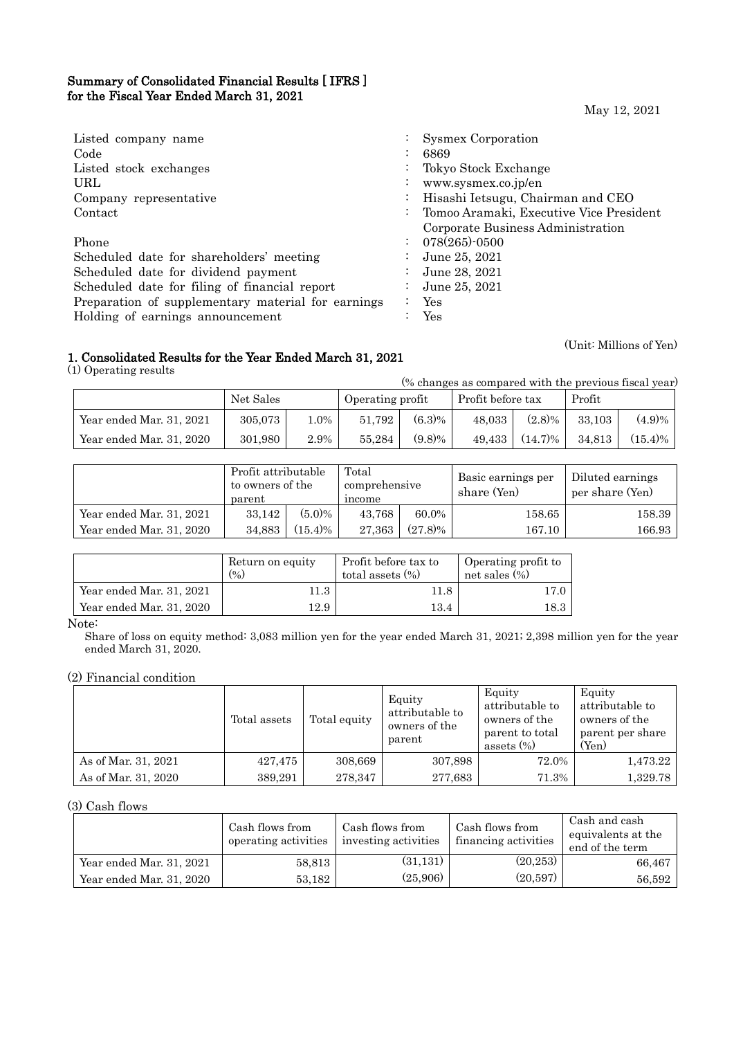## Summary of Consolidated Financial Results [ IFRS ] for the Fiscal Year Ended March 31, 2021

May 12, 2021

| Listed company name                                | Sysmex Corporation                      |
|----------------------------------------------------|-----------------------------------------|
| Code                                               | 6869                                    |
| Listed stock exchanges                             | Tokyo Stock Exchange                    |
| URL                                                | www.sysmex.co.jp/en                     |
| Company representative                             | Hisashi Ietsugu, Chairman and CEO       |
| Contact                                            | Tomoo Aramaki, Executive Vice President |
|                                                    | Corporate Business Administration       |
| Phone                                              | $078(265)$ -0500                        |
| Scheduled date for shareholders' meeting           | June 25, 2021                           |
| Scheduled date for dividend payment                | June 28, 2021                           |
| Scheduled date for filing of financial report      | June 25, 2021                           |
| Preparation of supplementary material for earnings | Yes                                     |
| Holding of earnings announcement                   | Yes                                     |

## 1. Consolidated Results for the Year Ended March 31, 2021

(1) Operating results

| (% changes as compared with the previous fiscal year) |           |         |                  |           |                   |            |        |            |
|-------------------------------------------------------|-----------|---------|------------------|-----------|-------------------|------------|--------|------------|
|                                                       | Net Sales |         | Operating profit |           | Profit before tax |            | Profit |            |
| Year ended Mar. 31, 2021                              | 305,073   | $1.0\%$ | 51.792           | $(6.3)\%$ | 48.033            | $(2.8)\%$  | 33.103 | $(4.9)\%$  |
| Year ended Mar. 31, 2020                              | 301,980   | 2.9%    | 55.284           | $(9.8)\%$ | 49.433            | $(14.7)\%$ | 34.813 | $(15.4)\%$ |

|                          | Profit attributable<br>to owners of the<br>parent |            | Total<br>comprehensive<br>income |            |            |        | Basic earnings per<br>share (Yen) | Diluted earnings<br>per share (Yen) |
|--------------------------|---------------------------------------------------|------------|----------------------------------|------------|------------|--------|-----------------------------------|-------------------------------------|
| Year ended Mar. 31, 2021 | 33.142                                            | $(5.0)\%$  | 43.768                           | 60.0%      | $158.65\,$ | 158.39 |                                   |                                     |
| Year ended Mar. 31, 2020 | 34,883                                            | $(15.4)\%$ | 27,363                           | $(27.8)\%$ | 167.10     | 166.93 |                                   |                                     |

|                          | Return on equity<br>(0/0) | Profit before tax to<br>total assets $(\%)$ | Operating profit to<br>net sales $(\% )$ |
|--------------------------|---------------------------|---------------------------------------------|------------------------------------------|
| Year ended Mar. 31, 2021 | 11.3                      | 11.8                                        | 17.0                                     |
| Year ended Mar. 31, 2020 | 12.9                      | 13.4                                        | $^{18.3}$                                |

Note:

Share of loss on equity method: 3,083 million yen for the year ended March 31, 2021; 2,398 million yen for the year ended March 31, 2020.

## (2) Financial condition

|                     | Total assets | Total equity | Equity<br>attributable to<br>owners of the<br>parent | Equity<br>attributable to<br>owners of the<br>parent to total<br>assets $(\%)$ | Equity<br>attributable to<br>owners of the<br>parent per share<br>(Yen) |
|---------------------|--------------|--------------|------------------------------------------------------|--------------------------------------------------------------------------------|-------------------------------------------------------------------------|
| As of Mar. 31, 2021 | 427,475      | 308,669      | 307,898                                              | 72.0%                                                                          | 1,473.22                                                                |
| As of Mar. 31, 2020 | 389,291      | 278,347      | 277,683                                              | 71.3%                                                                          | 1,329.78                                                                |

## (3) Cash flows

|                          | Cash flows from<br>operating activities | Cash flows from<br>investing activities | Cash flows from<br>financing activities | Cash and cash<br>equivalents at the<br>end of the term |
|--------------------------|-----------------------------------------|-----------------------------------------|-----------------------------------------|--------------------------------------------------------|
| Year ended Mar. 31, 2021 | 58,813                                  | (31, 131)                               | (20, 253)                               | 66,467                                                 |
| Year ended Mar. 31, 2020 | 53,182                                  | (25,906)                                | (20, 597)                               | 56,592                                                 |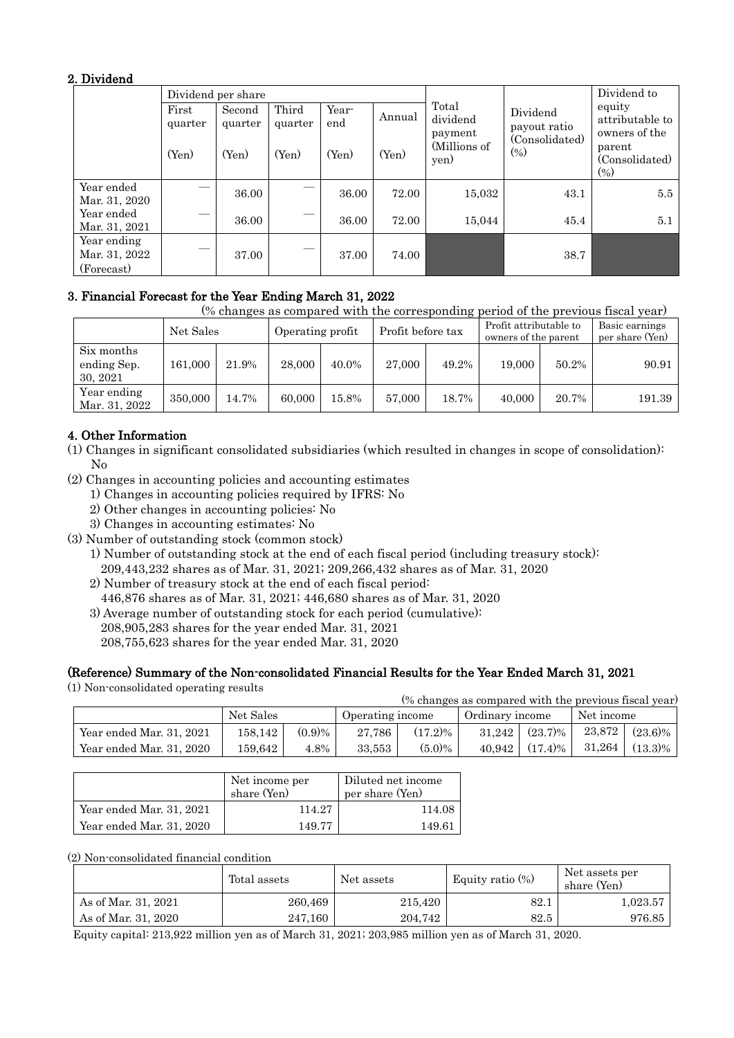## 2. Dividend

|                                            |                  | Dividend per share |                  |              |        |                                                      |                          | Dividend to                                |
|--------------------------------------------|------------------|--------------------|------------------|--------------|--------|------------------------------------------------------|--------------------------|--------------------------------------------|
|                                            | First<br>quarter | Second<br>quarter  | Third<br>quarter | Year-<br>end | Annual | Total<br>dividend<br>payment<br>(Millions of<br>yen) | Dividend<br>payout ratio | equity<br>attributable to<br>owners of the |
|                                            | (Yen)            | (Yen)              | (Yen)            | (Yen)        | (Yen)  |                                                      | (Consolidated)<br>(0/0)  | parent<br>(Consolidated)<br>$(\%)$         |
| Year ended<br>Mar. 31, 2020                | _                | 36.00              |                  | 36.00        | 72.00  | 15,032                                               | 43.1                     | 5.5                                        |
| Year ended<br>Mar. 31, 2021                | --               | 36.00              |                  | 36.00        | 72.00  | 15,044                                               | 45.4                     | 5.1                                        |
| Year ending<br>Mar. 31, 2022<br>(Forecast) | --               | 37.00              |                  | 37.00        | 74.00  |                                                      | 38.7                     |                                            |

## 3. Financial Forecast for the Year Ending March 31, 2022

(% changes as compared with the corresponding period of the previous fiscal year)

|                                       | Net Sales |       | Operating profit |       | Profit before tax |       | Profit attributable to<br>owners of the parent |       | Basic earnings<br>per share (Yen) |
|---------------------------------------|-----------|-------|------------------|-------|-------------------|-------|------------------------------------------------|-------|-----------------------------------|
| Six months<br>ending Sep.<br>30, 2021 | 161.000   | 21.9% | 28,000           | 40.0% | 27,000            | 49.2% | 19,000                                         | 50.2% | 90.91                             |
| Year ending<br>Mar. 31, 2022          | 350,000   | 14.7% | 60,000           | 15.8% | 57,000            | 18.7% | 40,000                                         | 20.7% | 191.39                            |

# 4. Other Information

- (1) Changes in significant consolidated subsidiaries (which resulted in changes in scope of consolidation): No
- (2) Changes in accounting policies and accounting estimates
	- 1) Changes in accounting policies required by IFRS: No
	- 2) Other changes in accounting policies: No
	- 3) Changes in accounting estimates: No
- (3) Number of outstanding stock (common stock)
	- 1) Number of outstanding stock at the end of each fiscal period (including treasury stock): 209,443,232 shares as of Mar. 31, 2021; 209,266,432 shares as of Mar. 31, 2020
	- 2) Number of treasury stock at the end of each fiscal period:
	- 446,876 shares as of Mar. 31, 2021; 446,680 shares as of Mar. 31, 2020
	- 3) Average number of outstanding stock for each period (cumulative): 208,905,283 shares for the year ended Mar. 31, 2021
		- 208,755,623 shares for the year ended Mar. 31, 2020

# (Reference) Summary of the Non-consolidated Financial Results for the Year Ended March 31, 2021

(1) Non-consolidated operating results

| $\frac{1}{2}$ Tom consolidated operating results<br>(% changes as compared with the previous fiscal year) |           |        |                  |            |                 |            |            |            |
|-----------------------------------------------------------------------------------------------------------|-----------|--------|------------------|------------|-----------------|------------|------------|------------|
|                                                                                                           | Net Sales |        | Operating income |            | Ordinary income |            | Net income |            |
| Year ended Mar. 31, 2021                                                                                  | 158.142   | (0.9)% | 27.786           | $(17.2)\%$ | 31.242          | $(23.7)\%$ | 23,872     | $(23.6)\%$ |
| Year ended Mar. 31, 2020                                                                                  | 159.642   | 4.8%   | 33.553           | $(5.0)\%$  | 40.942          | $(17.4)\%$ | 31.264     | $(13.3)\%$ |

|                          | Net income per<br>share (Yen) | Diluted net income<br>per share (Yen) |
|--------------------------|-------------------------------|---------------------------------------|
| Year ended Mar. 31, 2021 | 114.27                        | 114.08                                |
| Year ended Mar. 31, 2020 | 149.77                        | 149.61                                |

(2) Non-consolidated financial condition

|                     | Total assets | Net assets | Equity ratio $(\%)$ | Net assets per<br>share (Yen) |
|---------------------|--------------|------------|---------------------|-------------------------------|
| As of Mar. 31, 2021 | 260,469      | 215,420    | 82.1                | 1,023.57                      |
| As of Mar. 31, 2020 | 247,160      | 204,742    | 82.5                | 976.85                        |

Equity capital: 213,922 million yen as of March 31, 2021; 203,985 million yen as of March 31, 2020.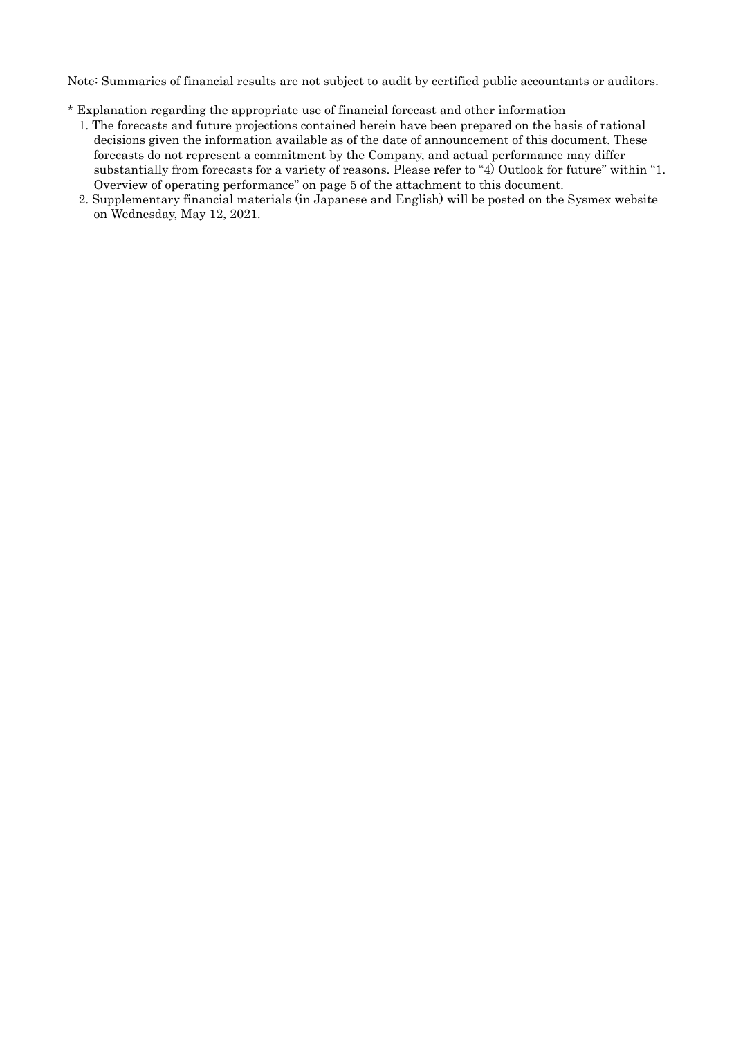Note: Summaries of financial results are not subject to audit by certified public accountants or auditors.

- \* Explanation regarding the appropriate use of financial forecast and other information
	- 1. The forecasts and future projections contained herein have been prepared on the basis of rational decisions given the information available as of the date of announcement of this document. These forecasts do not represent a commitment by the Company, and actual performance may differ substantially from forecasts for a variety of reasons. Please refer to "4) Outlook for future" within "1. Overview of operating performance" on page 5 of the attachment to this document.
	- 2. Supplementary financial materials (in Japanese and English) will be posted on the Sysmex website on Wednesday, May 12, 2021.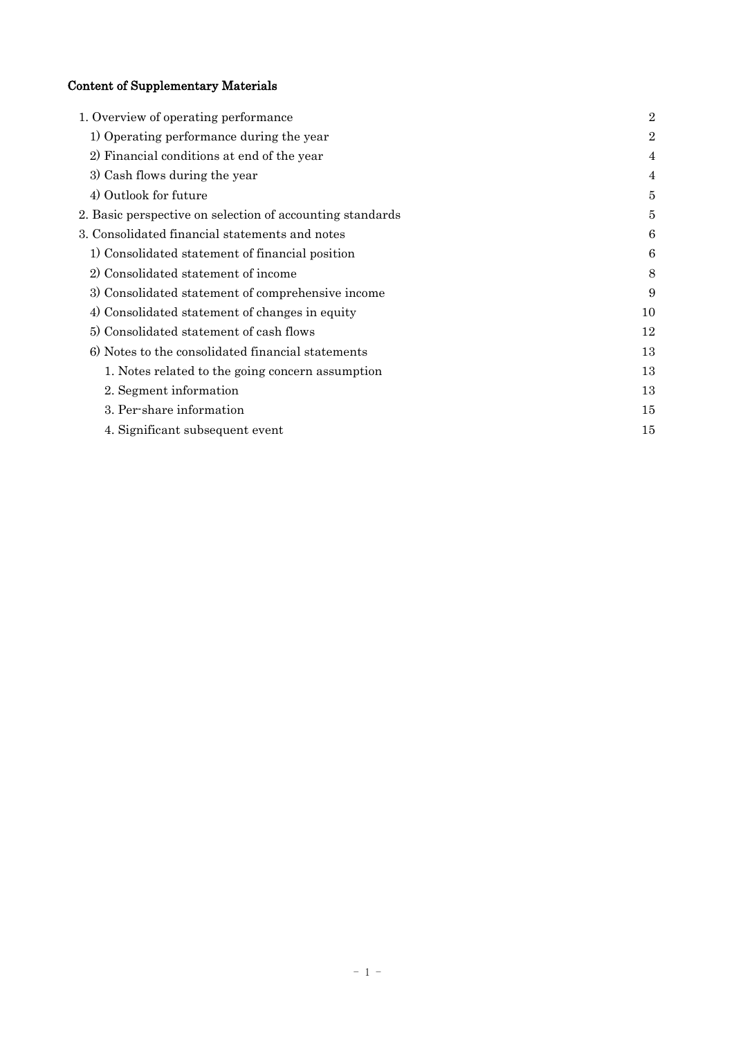# Content of Supplementary Materials

| 1. Overview of operating performance                      | $\overline{2}$ |
|-----------------------------------------------------------|----------------|
| 1) Operating performance during the year                  | $\overline{2}$ |
| 2) Financial conditions at end of the year                | 4              |
| 3) Cash flows during the year                             | 4              |
| 4) Outlook for future                                     | 5              |
| 2. Basic perspective on selection of accounting standards | 5              |
| 3. Consolidated financial statements and notes            | 6              |
| 1) Consolidated statement of financial position           | 6              |
| 2) Consolidated statement of income                       | 8              |
| 3) Consolidated statement of comprehensive income         | 9              |
| 4) Consolidated statement of changes in equity            | 10             |
| 5) Consolidated statement of cash flows                   | 12             |
| 6) Notes to the consolidated financial statements         | 13             |
| 1. Notes related to the going concern assumption          | 13             |
| 2. Segment information                                    | 13             |
| 3. Per-share information                                  | 15             |
| 4. Significant subsequent event                           | 15             |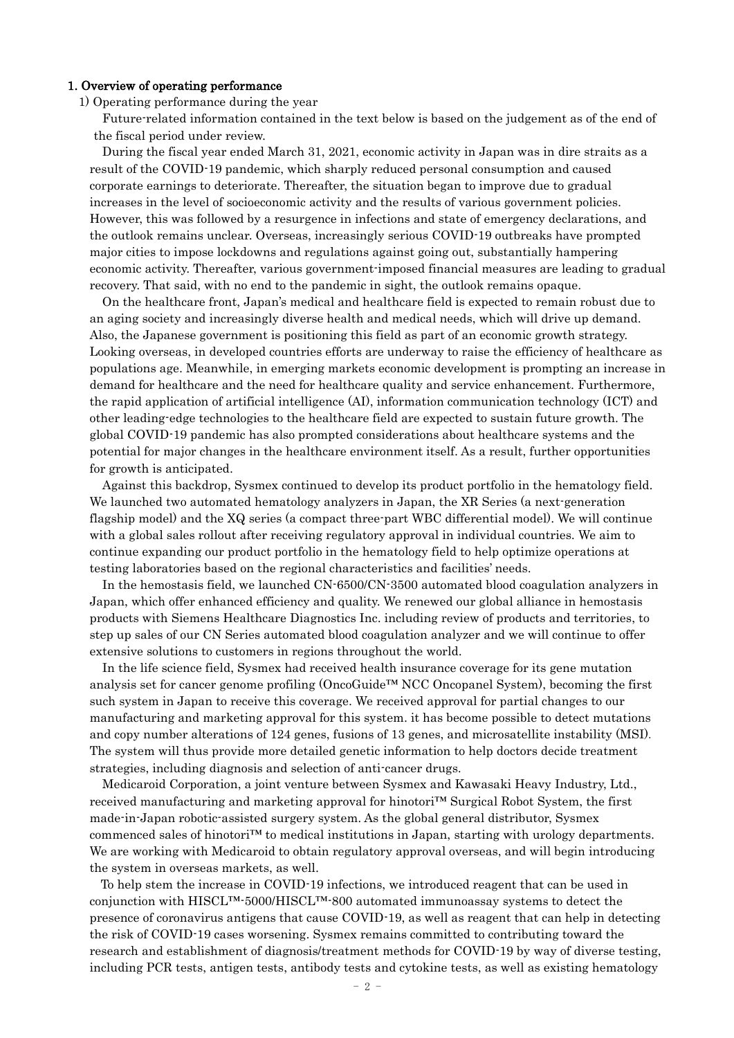#### 1. Overview of operating performance

1) Operating performance during the year

Future-related information contained in the text below is based on the judgement as of the end of the fiscal period under review.

During the fiscal year ended March 31, 2021, economic activity in Japan was in dire straits as a result of the COVID-19 pandemic, which sharply reduced personal consumption and caused corporate earnings to deteriorate. Thereafter, the situation began to improve due to gradual increases in the level of socioeconomic activity and the results of various government policies. However, this was followed by a resurgence in infections and state of emergency declarations, and the outlook remains unclear. Overseas, increasingly serious COVID-19 outbreaks have prompted major cities to impose lockdowns and regulations against going out, substantially hampering economic activity. Thereafter, various government-imposed financial measures are leading to gradual recovery. That said, with no end to the pandemic in sight, the outlook remains opaque.

On the healthcare front, Japan's medical and healthcare field is expected to remain robust due to an aging society and increasingly diverse health and medical needs, which will drive up demand. Also, the Japanese government is positioning this field as part of an economic growth strategy. Looking overseas, in developed countries efforts are underway to raise the efficiency of healthcare as populations age. Meanwhile, in emerging markets economic development is prompting an increase in demand for healthcare and the need for healthcare quality and service enhancement. Furthermore, the rapid application of artificial intelligence (AI), information communication technology (ICT) and other leading-edge technologies to the healthcare field are expected to sustain future growth. The global COVID-19 pandemic has also prompted considerations about healthcare systems and the potential for major changes in the healthcare environment itself. As a result, further opportunities for growth is anticipated.

Against this backdrop, Sysmex continued to develop its product portfolio in the hematology field. We launched two automated hematology analyzers in Japan, the XR Series (a next-generation flagship model) and the XQ series (a compact three-part WBC differential model). We will continue with a global sales rollout after receiving regulatory approval in individual countries. We aim to continue expanding our product portfolio in the hematology field to help optimize operations at testing laboratories based on the regional characteristics and facilities' needs.

In the hemostasis field, we launched CN-6500/CN-3500 automated blood coagulation analyzers in Japan, which offer enhanced efficiency and quality. We renewed our global alliance in hemostasis products with Siemens Healthcare Diagnostics Inc. including review of products and territories, to step up sales of our CN Series automated blood coagulation analyzer and we will continue to offer extensive solutions to customers in regions throughout the world.

In the life science field, Sysmex had received health insurance coverage for its gene mutation analysis set for cancer genome profiling (OncoGuide™ NCC Oncopanel System), becoming the first such system in Japan to receive this coverage. We received approval for partial changes to our manufacturing and marketing approval for this system. it has become possible to detect mutations and copy number alterations of 124 genes, fusions of 13 genes, and microsatellite instability (MSI). The system will thus provide more detailed genetic information to help doctors decide treatment strategies, including diagnosis and selection of anti-cancer drugs.

Medicaroid Corporation, a joint venture between Sysmex and Kawasaki Heavy Industry, Ltd., received manufacturing and marketing approval for hinotori™ Surgical Robot System, the first made-in-Japan robotic-assisted surgery system. As the global general distributor, Sysmex commenced sales of hinotori™ to medical institutions in Japan, starting with urology departments. We are working with Medicaroid to obtain regulatory approval overseas, and will begin introducing the system in overseas markets, as well.

To help stem the increase in COVID-19 infections, we introduced reagent that can be used in conjunction with HISCL™-5000/HISCL™-800 automated immunoassay systems to detect the presence of coronavirus antigens that cause COVID-19, as well as reagent that can help in detecting the risk of COVID-19 cases worsening. Sysmex remains committed to contributing toward the research and establishment of diagnosis/treatment methods for COVID-19 by way of diverse testing, including PCR tests, antigen tests, antibody tests and cytokine tests, as well as existing hematology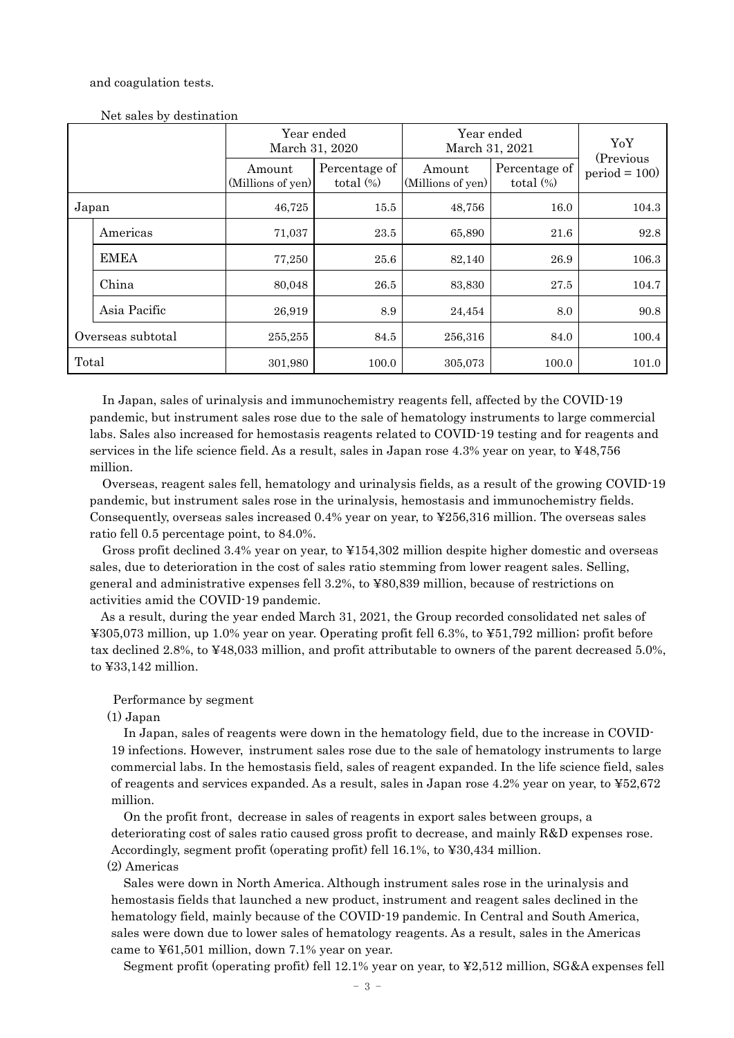#### and coagulation tests.

|                   |              |                             | Year ended<br>March 31, 2020  | Year ended<br>March 31, 2021 | YoY                           |                             |
|-------------------|--------------|-----------------------------|-------------------------------|------------------------------|-------------------------------|-----------------------------|
|                   |              | Amount<br>(Millions of yen) | Percentage of<br>total $(\%)$ | Amount<br>(Millions of yen)  | Percentage of<br>total $(\%)$ | (Previous<br>$period = 100$ |
| Japan             |              | 46,725                      | 15.5                          | 48,756                       | 16.0                          | 104.3                       |
|                   | Americas     | 71,037                      | 23.5                          | 65,890                       | 21.6                          | 92.8                        |
|                   | <b>EMEA</b>  | 77,250                      | 25.6                          | 82,140                       | 26.9                          | 106.3                       |
|                   | China        | 80,048                      | 26.5                          | 83,830                       | 27.5                          | 104.7                       |
|                   | Asia Pacific | 26,919                      | 8.9                           | 24,454                       | 8.0                           | 90.8                        |
| Overseas subtotal |              | 255,255                     | 84.5                          | 256,316                      | 84.0                          | 100.4                       |
| Total             |              | 301,980                     | 100.0                         | 305,073                      | 100.0                         | 101.0                       |

Net sales by destination

In Japan, sales of urinalysis and immunochemistry reagents fell, affected by the COVID-19 pandemic, but instrument sales rose due to the sale of hematology instruments to large commercial labs. Sales also increased for hemostasis reagents related to COVID-19 testing and for reagents and services in the life science field. As a result, sales in Japan rose 4.3% year on year, to ¥48,756 million.

Overseas, reagent sales fell, hematology and urinalysis fields, as a result of the growing COVID-19 pandemic, but instrument sales rose in the urinalysis, hemostasis and immunochemistry fields. Consequently, overseas sales increased 0.4% year on year, to ¥256,316 million. The overseas sales ratio fell 0.5 percentage point, to 84.0%.

Gross profit declined 3.4% year on year, to ¥154,302 million despite higher domestic and overseas sales, due to deterioration in the cost of sales ratio stemming from lower reagent sales. Selling, general and administrative expenses fell 3.2%, to ¥80,839 million, because of restrictions on activities amid the COVID-19 pandemic.

As a result, during the year ended March 31, 2021, the Group recorded consolidated net sales of ¥305,073 million, up 1.0% year on year. Operating profit fell 6.3%, to ¥51,792 million; profit before tax declined 2.8%, to ¥48,033 million, and profit attributable to owners of the parent decreased 5.0%, to ¥33,142 million.

### Performance by segment

### (1) Japan

In Japan, sales of reagents were down in the hematology field, due to the increase in COVID-19 infections. However, instrument sales rose due to the sale of hematology instruments to large commercial labs. In the hemostasis field, sales of reagent expanded. In the life science field, sales of reagents and services expanded. As a result, sales in Japan rose 4.2% year on year, to ¥52,672 million.

On the profit front, decrease in sales of reagents in export sales between groups, a deteriorating cost of sales ratio caused gross profit to decrease, and mainly R&D expenses rose. Accordingly, segment profit (operating profit) fell 16.1%, to ¥30,434 million. (2) Americas

Sales were down in North America. Although instrument sales rose in the urinalysis and hemostasis fields that launched a new product, instrument and reagent sales declined in the hematology field, mainly because of the COVID-19 pandemic. In Central and South America, sales were down due to lower sales of hematology reagents. As a result, sales in the Americas came to ¥61,501 million, down 7.1% year on year.

Segment profit (operating profit) fell 12.1% year on year, to ¥2,512 million, SG&A expenses fell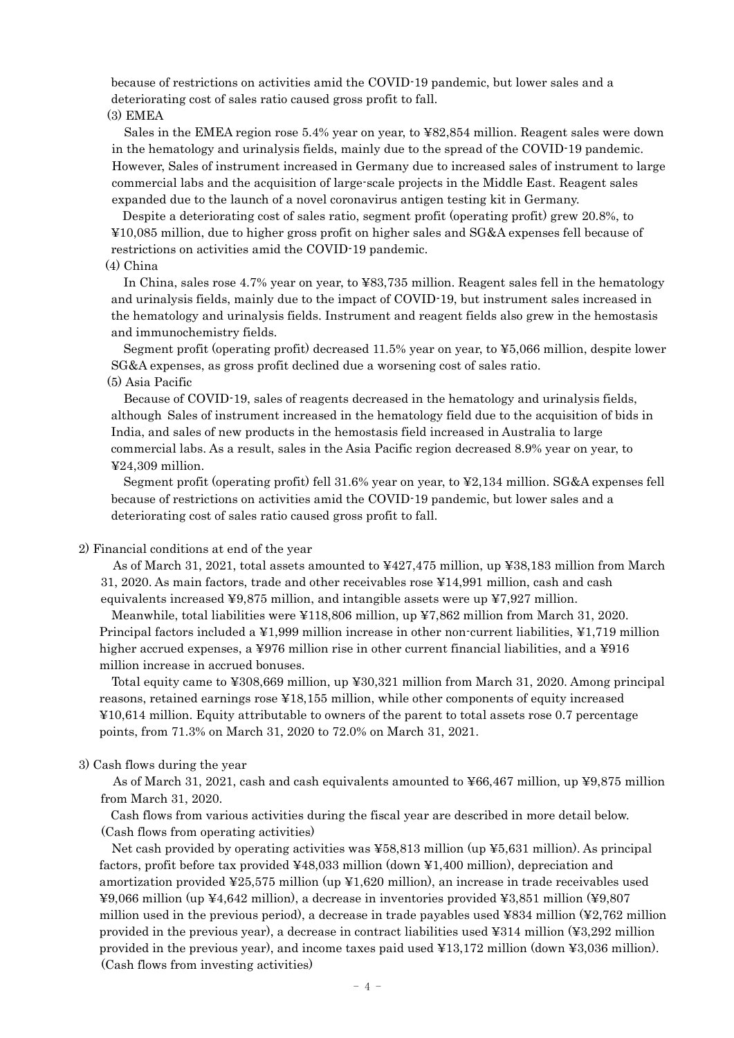because of restrictions on activities amid the COVID-19 pandemic, but lower sales and a deteriorating cost of sales ratio caused gross profit to fall. (3) EMEA

Sales in the EMEA region rose 5.4% year on year, to ¥82,854 million. Reagent sales were down in the hematology and urinalysis fields, mainly due to the spread of the COVID-19 pandemic. However, Sales of instrument increased in Germany due to increased sales of instrument to large commercial labs and the acquisition of large-scale projects in the Middle East. Reagent sales expanded due to the launch of a novel coronavirus antigen testing kit in Germany.

Despite a deteriorating cost of sales ratio, segment profit (operating profit) grew 20.8%, to ¥10,085 million, due to higher gross profit on higher sales and SG&A expenses fell because of restrictions on activities amid the COVID-19 pandemic.

### (4) China

In China, sales rose 4.7% year on year, to ¥83,735 million. Reagent sales fell in the hematology and urinalysis fields, mainly due to the impact of COVID-19, but instrument sales increased in the hematology and urinalysis fields. Instrument and reagent fields also grew in the hemostasis and immunochemistry fields.

Segment profit (operating profit) decreased 11.5% year on year, to ¥5,066 million, despite lower SG&A expenses, as gross profit declined due a worsening cost of sales ratio.

### (5) Asia Pacific

Because of COVID-19, sales of reagents decreased in the hematology and urinalysis fields, although Sales of instrument increased in the hematology field due to the acquisition of bids in India, and sales of new products in the hemostasis field increased in Australia to large commercial labs. As a result, sales in the Asia Pacific region decreased 8.9% year on year, to ¥24,309 million.

Segment profit (operating profit) fell 31.6% year on year, to ¥2,134 million. SG&A expenses fell because of restrictions on activities amid the COVID-19 pandemic, but lower sales and a deteriorating cost of sales ratio caused gross profit to fall.

#### 2) Financial conditions at end of the year

As of March 31, 2021, total assets amounted to ¥427,475 million, up ¥38,183 million from March 31, 2020. As main factors, trade and other receivables rose ¥14,991 million, cash and cash equivalents increased ¥9,875 million, and intangible assets were up ¥7,927 million.

Meanwhile, total liabilities were ¥118,806 million, up ¥7,862 million from March 31, 2020. Principal factors included a ¥1,999 million increase in other non-current liabilities, ¥1,719 million higher accrued expenses, a ¥976 million rise in other current financial liabilities, and a ¥916 million increase in accrued bonuses.

Total equity came to ¥308,669 million, up ¥30,321 million from March 31, 2020. Among principal reasons, retained earnings rose ¥18,155 million, while other components of equity increased ¥10,614 million. Equity attributable to owners of the parent to total assets rose 0.7 percentage points, from 71.3% on March 31, 2020 to 72.0% on March 31, 2021.

### 3) Cash flows during the year

As of March 31, 2021, cash and cash equivalents amounted to ¥66,467 million, up ¥9,875 million from March 31, 2020.

Cash flows from various activities during the fiscal year are described in more detail below. (Cash flows from operating activities)

Net cash provided by operating activities was ¥58,813 million (up ¥5,631 million). As principal factors, profit before tax provided ¥48,033 million (down ¥1,400 million), depreciation and amortization provided ¥25,575 million (up ¥1,620 million), an increase in trade receivables used ¥9,066 million (up ¥4,642 million), a decrease in inventories provided ¥3,851 million (¥9,807 million used in the previous period), a decrease in trade payables used ¥834 million (¥2,762 million provided in the previous year), a decrease in contract liabilities used ¥314 million (¥3,292 million provided in the previous year), and income taxes paid used ¥13,172 million (down ¥3,036 million). (Cash flows from investing activities)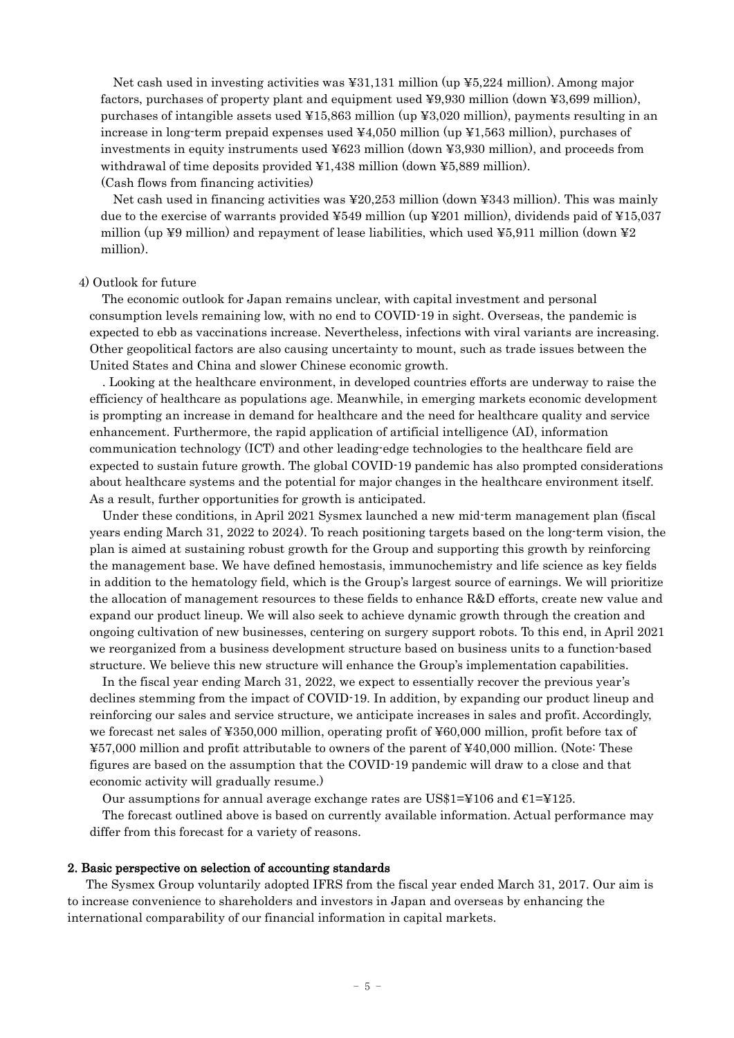Net cash used in investing activities was ¥31,131 million (up ¥5,224 million). Among major factors, purchases of property plant and equipment used ¥9,930 million (down ¥3,699 million), purchases of intangible assets used ¥15,863 million (up ¥3,020 million), payments resulting in an increase in long-term prepaid expenses used ¥4,050 million (up ¥1,563 million), purchases of investments in equity instruments used ¥623 million (down ¥3,930 million), and proceeds from withdrawal of time deposits provided  $\yen 1,438$  million (down  $\yen 5,889$  million). (Cash flows from financing activities)

Net cash used in financing activities was ¥20,253 million (down ¥343 million). This was mainly due to the exercise of warrants provided  $\text{\textsterling}549$  million (up  $\text{\textsterling}201$  million), dividends paid of  $\text{\textsterling}15,037$ million (up ¥9 million) and repayment of lease liabilities, which used ¥5,911 million (down ¥2 million).

#### 4) Outlook for future

The economic outlook for Japan remains unclear, with capital investment and personal consumption levels remaining low, with no end to COVID-19 in sight. Overseas, the pandemic is expected to ebb as vaccinations increase. Nevertheless, infections with viral variants are increasing. Other geopolitical factors are also causing uncertainty to mount, such as trade issues between the United States and China and slower Chinese economic growth.

. Looking at the healthcare environment, in developed countries efforts are underway to raise the efficiency of healthcare as populations age. Meanwhile, in emerging markets economic development is prompting an increase in demand for healthcare and the need for healthcare quality and service enhancement. Furthermore, the rapid application of artificial intelligence (AI), information communication technology (ICT) and other leading-edge technologies to the healthcare field are expected to sustain future growth. The global COVID-19 pandemic has also prompted considerations about healthcare systems and the potential for major changes in the healthcare environment itself. As a result, further opportunities for growth is anticipated.

Under these conditions, in April 2021 Sysmex launched a new mid-term management plan (fiscal years ending March 31, 2022 to 2024). To reach positioning targets based on the long-term vision, the plan is aimed at sustaining robust growth for the Group and supporting this growth by reinforcing the management base. We have defined hemostasis, immunochemistry and life science as key fields in addition to the hematology field, which is the Group's largest source of earnings. We will prioritize the allocation of management resources to these fields to enhance R&D efforts, create new value and expand our product lineup. We will also seek to achieve dynamic growth through the creation and ongoing cultivation of new businesses, centering on surgery support robots. To this end, in April 2021 we reorganized from a business development structure based on business units to a function-based structure. We believe this new structure will enhance the Group's implementation capabilities.

In the fiscal year ending March 31, 2022, we expect to essentially recover the previous year's declines stemming from the impact of COVID-19. In addition, by expanding our product lineup and reinforcing our sales and service structure, we anticipate increases in sales and profit. Accordingly, we forecast net sales of ¥350,000 million, operating profit of ¥60,000 million, profit before tax of ¥57,000 million and profit attributable to owners of the parent of ¥40,000 million. (Note: These figures are based on the assumption that the COVID-19 pandemic will draw to a close and that economic activity will gradually resume.)

Our assumptions for annual average exchange rates are US\$1=¥106 and  $E1 = 125$ .

The forecast outlined above is based on currently available information. Actual performance may differ from this forecast for a variety of reasons.

### 2. Basic perspective on selection of accounting standards

The Sysmex Group voluntarily adopted IFRS from the fiscal year ended March 31, 2017. Our aim is to increase convenience to shareholders and investors in Japan and overseas by enhancing the international comparability of our financial information in capital markets.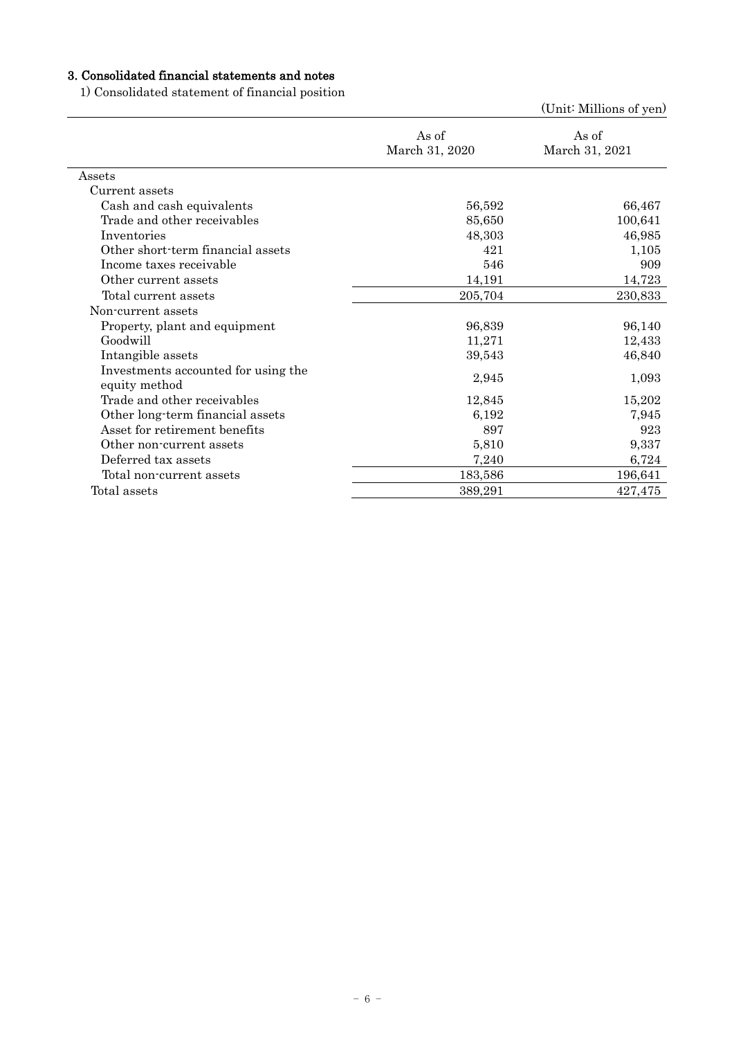# 3. Consolidated financial statements and notes

1) Consolidated statement of financial position

|                                                      |                         | (Unit: Millions of yen) |
|------------------------------------------------------|-------------------------|-------------------------|
|                                                      | As of<br>March 31, 2020 | As of<br>March 31, 2021 |
| Assets                                               |                         |                         |
| Current assets                                       |                         |                         |
| Cash and cash equivalents                            | 56,592                  | 66,467                  |
| Trade and other receivables                          | 85,650                  | 100,641                 |
| Inventories                                          | 48,303                  | 46,985                  |
| Other short-term financial assets                    | 421                     | 1,105                   |
| Income taxes receivable                              | 546                     | 909                     |
| Other current assets                                 | 14,191                  | 14,723                  |
| Total current assets                                 | 205,704                 | 230,833                 |
| Non-current assets                                   |                         |                         |
| Property, plant and equipment                        | 96,839                  | 96,140                  |
| Goodwill                                             | 11,271                  | 12,433                  |
| Intangible assets                                    | 39,543                  | 46,840                  |
| Investments accounted for using the<br>equity method | 2,945                   | 1,093                   |
| Trade and other receivables                          | 12,845                  | 15,202                  |
| Other long-term financial assets                     | 6,192                   | 7,945                   |
| Asset for retirement benefits                        | 897                     | 923                     |
| Other non-current assets                             | 5,810                   | 9,337                   |
| Deferred tax assets                                  | 7,240                   | 6,724                   |
| Total non-current assets                             | 183,586                 | 196,641                 |
| Total assets                                         | 389,291                 | 427,475                 |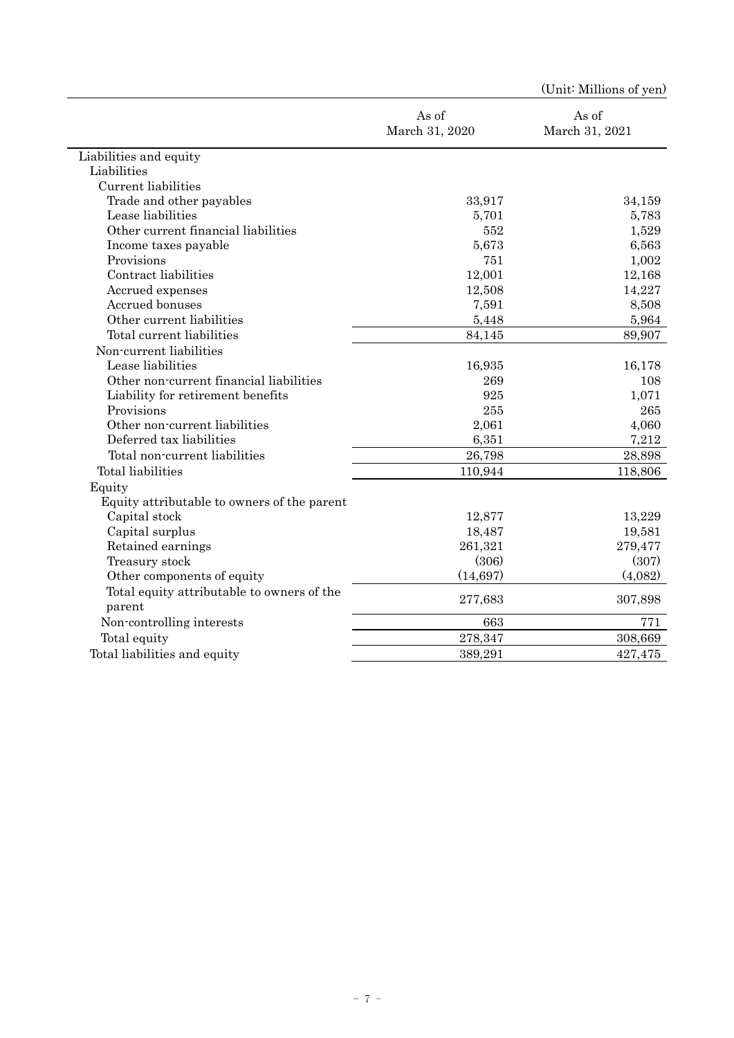|                                             |                         | (Unit: Millions of yen) |
|---------------------------------------------|-------------------------|-------------------------|
|                                             | As of<br>March 31, 2020 | As of<br>March 31, 2021 |
| Liabilities and equity                      |                         |                         |
| Liabilities                                 |                         |                         |
| Current liabilities                         |                         |                         |
| Trade and other payables                    | 33,917                  | 34,159                  |
| Lease liabilities                           | 5,701                   | 5,783                   |
| Other current financial liabilities         | 552                     | 1,529                   |
| Income taxes payable                        | 5,673                   | 6,563                   |
| Provisions                                  | 751                     | 1,002                   |
| Contract liabilities                        | 12,001                  | 12,168                  |
| Accrued expenses                            | 12,508                  | 14,227                  |
| Accrued bonuses                             | 7,591                   | 8,508                   |
| Other current liabilities                   | 5,448                   | 5,964                   |
| Total current liabilities                   | 84,145                  | 89,907                  |
| Non-current liabilities                     |                         |                         |
| Lease liabilities                           | 16,935                  | 16,178                  |
| Other non-current financial liabilities     | 269                     | 108                     |
| Liability for retirement benefits           | 925                     | 1,071                   |
| Provisions                                  | 255                     | 265                     |
| Other non-current liabilities               | 2,061                   | 4,060                   |
| Deferred tax liabilities                    | 6,351                   | 7,212                   |
| Total non-current liabilities               | 26,798                  | 28,898                  |
| Total liabilities                           | 110,944                 | 118,806                 |
| Equity                                      |                         |                         |
| Equity attributable to owners of the parent |                         |                         |
| Capital stock                               | 12,877                  | 13,229                  |
| Capital surplus                             | 18,487                  | 19,581                  |
| Retained earnings                           | 261,321                 | 279,477                 |
| Treasury stock                              | (306)                   | (307)                   |
| Other components of equity                  | (14, 697)               | (4,082)                 |
| Total equity attributable to owners of the  | 277,683                 | 307,898                 |
| parent                                      |                         |                         |
| Non-controlling interests                   | 663                     | 771                     |
| Total equity                                | 278,347                 | 308,669                 |
| Total liabilities and equity                | 389,291                 | 427,475                 |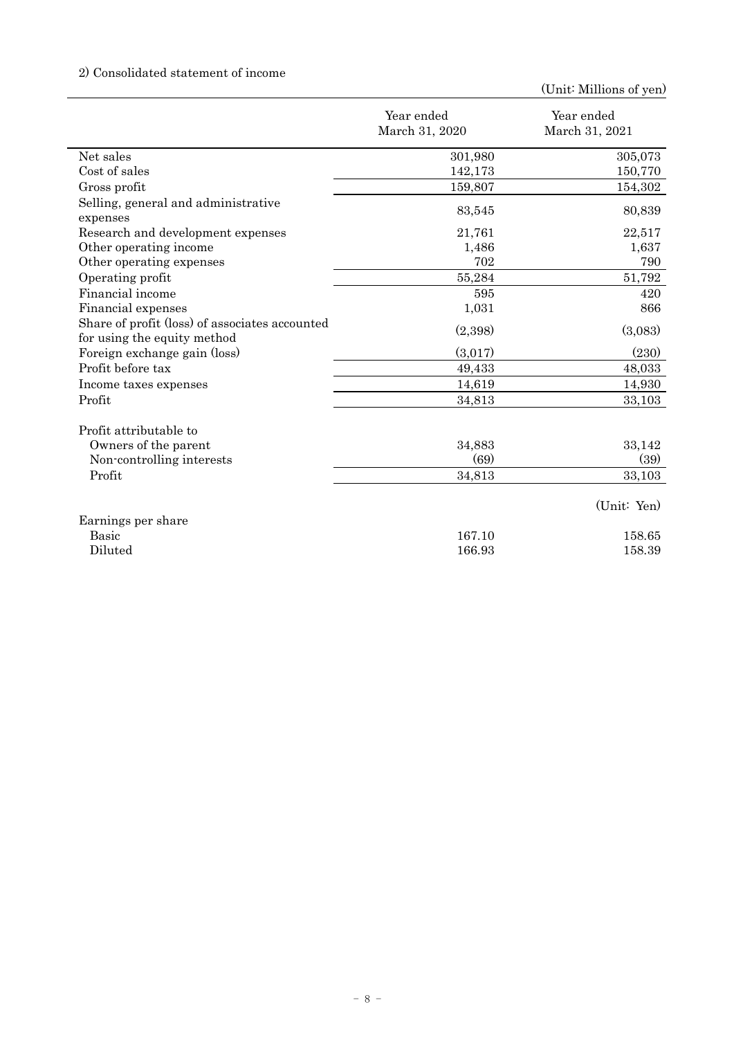# 2) Consolidated statement of income

|                                                                               | Year ended<br>March 31, 2020 | Year ended<br>March 31, 2021 |
|-------------------------------------------------------------------------------|------------------------------|------------------------------|
|                                                                               |                              |                              |
| Net sales                                                                     | 301,980                      | 305,073                      |
| Cost of sales                                                                 | 142,173                      | 150,770                      |
| Gross profit                                                                  | 159,807                      | 154,302                      |
| Selling, general and administrative<br>expenses                               | 83,545                       | 80,839                       |
| Research and development expenses                                             | 21,761                       | 22,517                       |
| Other operating income                                                        | 1,486                        | 1,637                        |
| Other operating expenses                                                      | 702                          | 790                          |
| Operating profit                                                              | 55,284                       | 51,792                       |
| Financial income                                                              | 595                          | 420                          |
| Financial expenses                                                            | 1,031                        | 866                          |
| Share of profit (loss) of associates accounted<br>for using the equity method | (2,398)                      | (3,083)                      |
| Foreign exchange gain (loss)                                                  | (3,017)                      | (230)                        |
| Profit before tax                                                             | 49,433                       | 48,033                       |
| Income taxes expenses                                                         | 14,619                       | 14,930                       |
| Profit                                                                        | 34,813                       | 33,103                       |
| Profit attributable to                                                        |                              |                              |
| Owners of the parent                                                          | 34,883                       | 33,142                       |
| Non-controlling interests                                                     | (69)                         | (39)                         |
| Profit                                                                        | 34,813                       | 33,103                       |
|                                                                               |                              | (Unit: Yen)                  |
| Earnings per share                                                            |                              |                              |
| <b>Basic</b>                                                                  | 167.10                       | 158.65                       |
| Diluted                                                                       | 166.93                       | 158.39                       |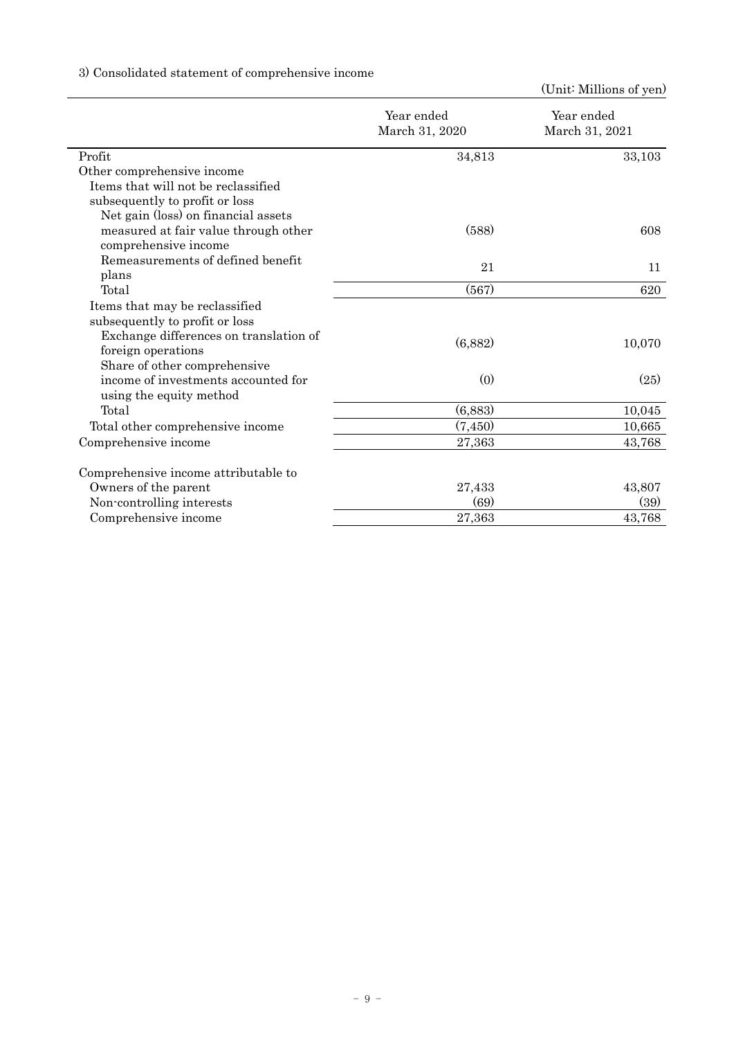# 3) Consolidated statement of comprehensive income

|                                        | Year ended<br>March 31, 2020 | Year ended<br>March 31, 2021 |
|----------------------------------------|------------------------------|------------------------------|
| Profit                                 | 34,813                       | 33,103                       |
| Other comprehensive income             |                              |                              |
| Items that will not be reclassified    |                              |                              |
| subsequently to profit or loss         |                              |                              |
| Net gain (loss) on financial assets    |                              |                              |
| measured at fair value through other   | (588)                        | 608                          |
| comprehensive income                   |                              |                              |
| Remeasurements of defined benefit      | 21                           | 11                           |
| plans                                  |                              |                              |
| Total                                  | (567)                        | 620                          |
| Items that may be reclassified         |                              |                              |
| subsequently to profit or loss         |                              |                              |
| Exchange differences on translation of | (6,882)                      | 10,070                       |
| foreign operations                     |                              |                              |
| Share of other comprehensive           |                              |                              |
| income of investments accounted for    | (0)                          | (25)                         |
| using the equity method                |                              |                              |
| Total                                  | (6,883)                      | 10,045                       |
| Total other comprehensive income       | (7, 450)                     | 10,665                       |
| Comprehensive income                   | 27,363                       | 43,768                       |
| Comprehensive income attributable to   |                              |                              |
| Owners of the parent                   | 27,433                       | 43,807                       |
| Non-controlling interests              | (69)                         | (39)                         |
| Comprehensive income                   | 27,363                       | 43,768                       |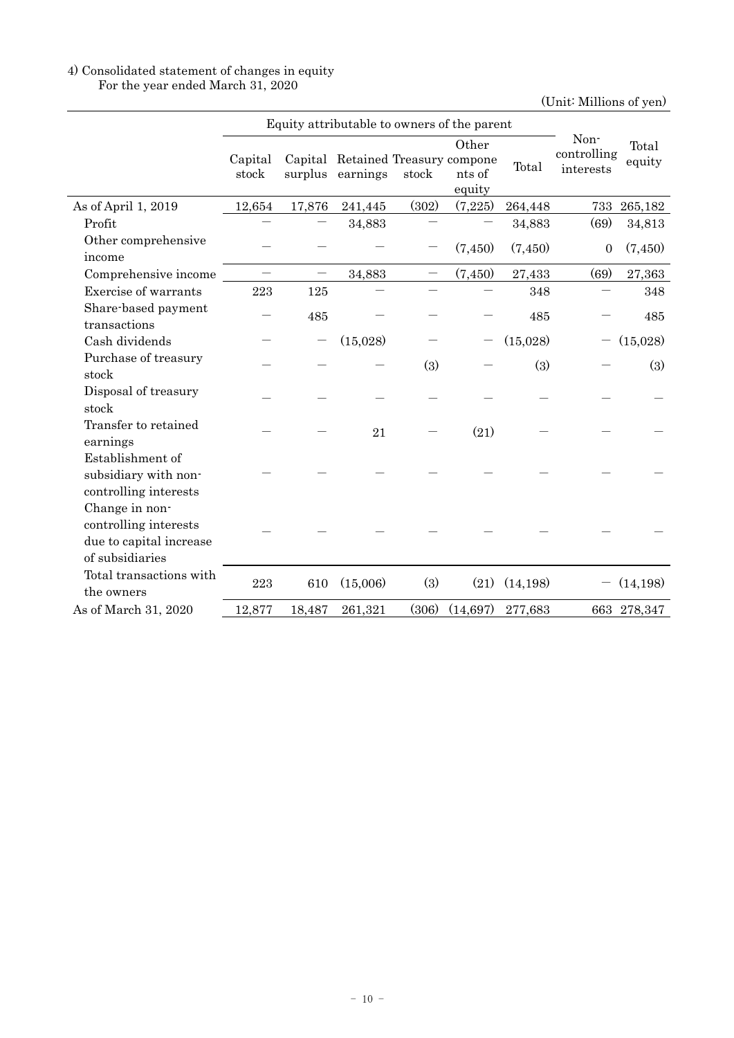## 4) Consolidated statement of changes in equity For the year ended March 31, 2020

|                                                                                       | Equity attributable to owners of the parent |        |                                                       |       |                           |           |                                  |                 |
|---------------------------------------------------------------------------------------|---------------------------------------------|--------|-------------------------------------------------------|-------|---------------------------|-----------|----------------------------------|-----------------|
|                                                                                       | Capital<br>stock                            |        | Capital Retained Treasury compone<br>surplus earnings | stock | Other<br>nts of<br>equity | Total     | Non-<br>controlling<br>interests | Total<br>equity |
| As of April 1, 2019                                                                   | 12,654                                      | 17,876 | 241,445                                               | (302) | (7,225)                   | 264,448   | 733                              | 265,182         |
| Profit                                                                                |                                             |        | 34,883                                                |       |                           | 34,883    | (69)                             | 34,813          |
| Other comprehensive<br>income                                                         |                                             |        |                                                       |       | (7,450)                   | (7,450)   | $\overline{0}$                   | (7,450)         |
| Comprehensive income                                                                  |                                             |        | 34,883                                                |       | (7, 450)                  | 27,433    | (69)                             | 27,363          |
| Exercise of warrants                                                                  | 223                                         | 125    |                                                       |       |                           | 348       |                                  | 348             |
| Share-based payment<br>transactions                                                   |                                             | 485    |                                                       |       |                           | 485       |                                  | 485             |
| Cash dividends                                                                        |                                             |        | (15,028)                                              |       |                           | (15,028)  |                                  | (15,028)        |
| Purchase of treasury<br>stock                                                         |                                             |        |                                                       | (3)   |                           | (3)       |                                  | (3)             |
| Disposal of treasury<br>stock                                                         |                                             |        |                                                       |       |                           |           |                                  |                 |
| Transfer to retained<br>earnings                                                      |                                             |        | 21                                                    |       | (21)                      |           |                                  |                 |
| Establishment of<br>subsidiary with non-<br>controlling interests                     |                                             |        |                                                       |       |                           |           |                                  |                 |
| Change in non-<br>controlling interests<br>due to capital increase<br>of subsidiaries |                                             |        |                                                       |       |                           |           |                                  |                 |
| Total transactions with<br>the owners                                                 | 223                                         | 610    | (15,006)                                              | (3)   | (21)                      | (14, 198) |                                  | (14, 198)       |
| As of March 31, 2020                                                                  | 12,877                                      | 18,487 | 261,321                                               | (306) | (14,697)                  | 277,683   |                                  | 663 278,347     |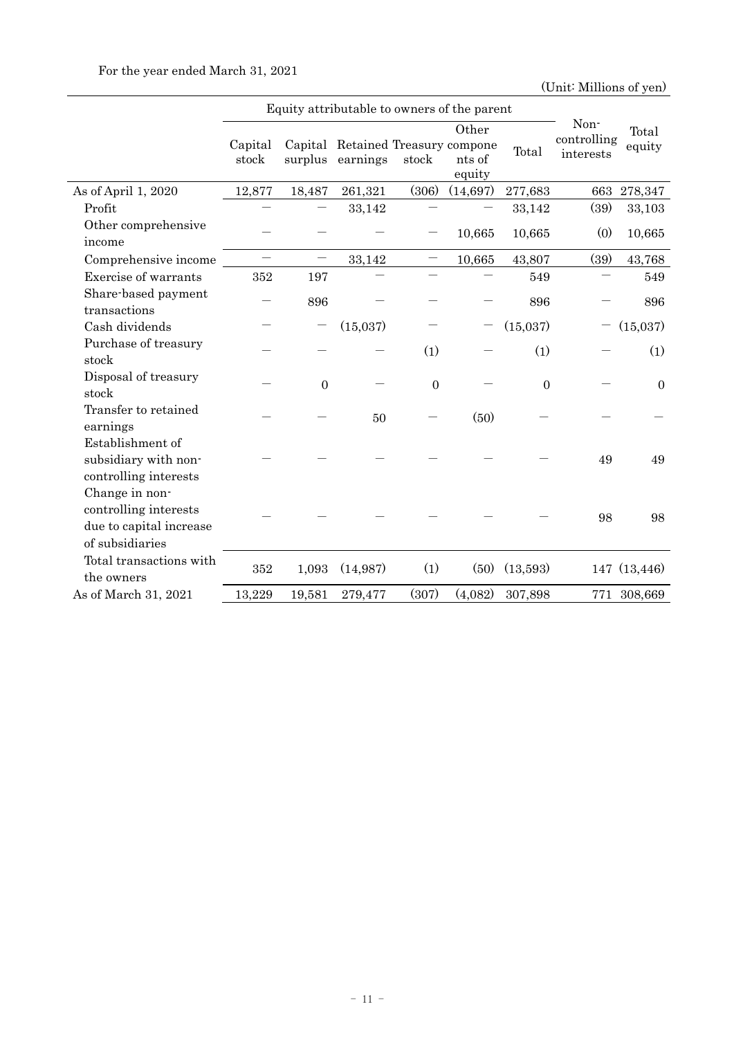|                                                                                       | Equity attributable to owners of the parent |                  |                                               |                  |                           |                |                                  |                 |
|---------------------------------------------------------------------------------------|---------------------------------------------|------------------|-----------------------------------------------|------------------|---------------------------|----------------|----------------------------------|-----------------|
|                                                                                       | Capital<br>stock                            | surplus          | Capital Retained Treasury compone<br>earnings | stock            | Other<br>nts of<br>equity | Total          | Non-<br>controlling<br>interests | Total<br>equity |
| As of April 1, 2020                                                                   | 12,877                                      | 18,487           | 261,321                                       | (306)            | (14,697)                  | 277,683        | 663                              | 278,347         |
| Profit                                                                                |                                             |                  | 33,142                                        |                  |                           | 33,142         | (39)                             | 33,103          |
| Other comprehensive<br>income                                                         |                                             |                  |                                               |                  | 10,665                    | 10,665         | (0)                              | 10,665          |
| Comprehensive income                                                                  | $\overline{\phantom{0}}$                    |                  | 33,142                                        |                  | 10,665                    | 43,807         | (39)                             | 43,768          |
| Exercise of warrants                                                                  | 352                                         | 197              |                                               |                  |                           | 549            |                                  | 549             |
| Share-based payment<br>transactions                                                   |                                             | 896              |                                               |                  |                           | 896            |                                  | 896             |
| Cash dividends                                                                        |                                             |                  | (15,037)                                      |                  |                           | (15,037)       |                                  | (15,037)        |
| Purchase of treasury<br>stock                                                         |                                             |                  |                                               | (1)              |                           | (1)            |                                  | (1)             |
| Disposal of treasury<br>stock                                                         |                                             | $\boldsymbol{0}$ |                                               | $\boldsymbol{0}$ |                           | $\overline{0}$ |                                  | $\mathbf{0}$    |
| Transfer to retained<br>earnings                                                      |                                             |                  | 50                                            |                  | (50)                      |                |                                  |                 |
| Establishment of<br>subsidiary with non-<br>controlling interests                     |                                             |                  |                                               |                  |                           |                | 49                               | 49              |
| Change in non-<br>controlling interests<br>due to capital increase<br>of subsidiaries |                                             |                  |                                               |                  |                           |                | 98                               | 98              |
| Total transactions with<br>the owners                                                 | 352                                         | 1,093            | (14,987)                                      | (1)              | (50)                      | (13,593)       |                                  | 147 (13,446)    |
| As of March 31, 2021                                                                  | 13,229                                      | 19,581           | 279,477                                       | (307)            | (4,082)                   | 307,898        |                                  | 771 308,669     |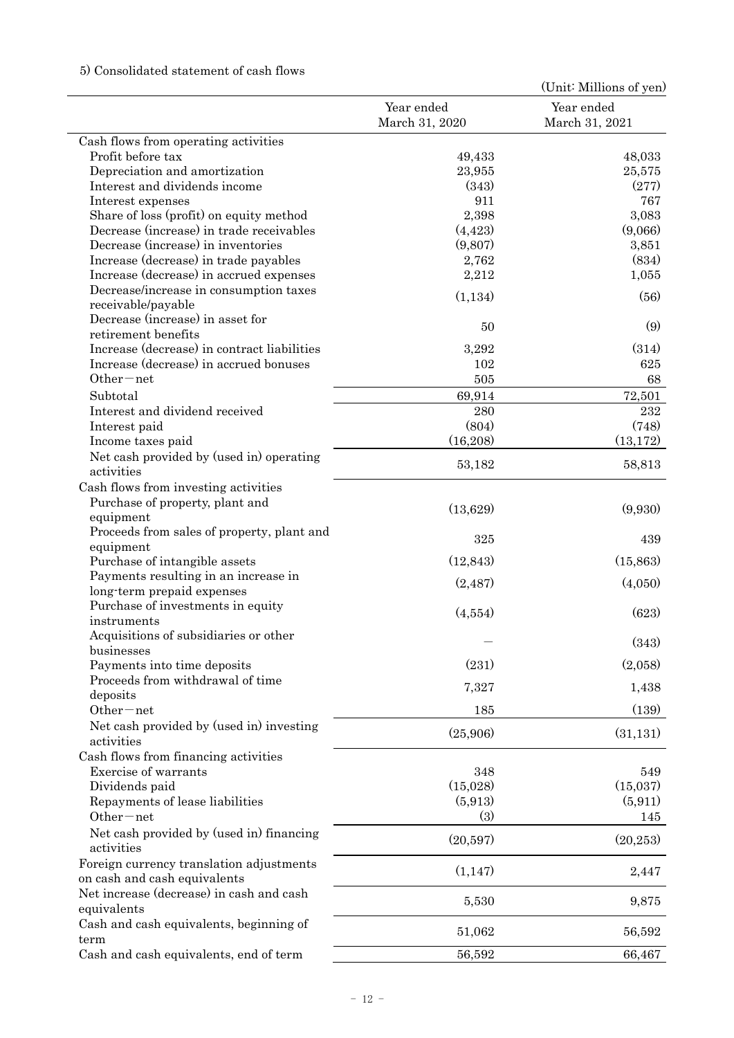# 5) Consolidated statement of cash flows

|                                                                             |                              | (Unit: Millions of yen)      |
|-----------------------------------------------------------------------------|------------------------------|------------------------------|
|                                                                             | Year ended<br>March 31, 2020 | Year ended<br>March 31, 2021 |
| Cash flows from operating activities                                        |                              |                              |
| Profit before tax                                                           | 49,433                       | 48,033                       |
| Depreciation and amortization                                               | 23,955                       | 25,575                       |
| Interest and dividends income                                               | (343)                        | (277)                        |
| Interest expenses                                                           | 911                          | 767                          |
| Share of loss (profit) on equity method                                     | 2,398                        | 3,083                        |
| Decrease (increase) in trade receivables                                    | (4, 423)                     | (9,066)                      |
| Decrease (increase) in inventories<br>Increase (decrease) in trade payables | (9,807)<br>2,762             | 3,851<br>(834)               |
| Increase (decrease) in accrued expenses                                     | 2,212                        | 1,055                        |
| Decrease/increase in consumption taxes                                      |                              |                              |
| receivable/payable                                                          | (1, 134)                     | (56)                         |
| Decrease (increase) in asset for                                            |                              |                              |
| retirement benefits                                                         | 50                           | (9)                          |
| Increase (decrease) in contract liabilities                                 | 3,292                        | (314)                        |
| Increase (decrease) in accrued bonuses                                      | 102                          | 625                          |
| $Other-net$                                                                 | 505                          | 68                           |
| Subtotal                                                                    | 69,914                       | 72,501                       |
| Interest and dividend received                                              | 280                          | 232                          |
| Interest paid                                                               | (804)                        | (748)                        |
| Income taxes paid                                                           | (16, 208)                    | (13, 172)                    |
| Net cash provided by (used in) operating<br>activities                      | 53,182                       | 58,813                       |
| Cash flows from investing activities                                        |                              |                              |
| Purchase of property, plant and                                             | (13,629)                     | (9,930)                      |
| equipment                                                                   |                              |                              |
| Proceeds from sales of property, plant and                                  | 325                          | 439                          |
| equipment                                                                   |                              |                              |
| Purchase of intangible assets<br>Payments resulting in an increase in       | (12, 843)                    | (15, 863)                    |
| long-term prepaid expenses                                                  | (2, 487)                     | (4,050)                      |
| Purchase of investments in equity                                           |                              |                              |
| instruments                                                                 | (4,554)                      | (623)                        |
| Acquisitions of subsidiaries or other                                       |                              |                              |
| businesses                                                                  |                              | (343)                        |
| Payments into time deposits                                                 | (231)                        | (2,058)                      |
| Proceeds from withdrawal of time                                            | 7,327                        | 1,438                        |
| deposits                                                                    |                              |                              |
| Other-net                                                                   | 185                          | (139)                        |
| Net cash provided by (used in) investing<br>activities                      | (25,906)                     | (31, 131)                    |
| Cash flows from financing activities                                        |                              |                              |
| Exercise of warrants                                                        | 348                          | 549                          |
| Dividends paid                                                              | (15,028)                     | (15,037)                     |
| Repayments of lease liabilities                                             | (5,913)                      | (5, 911)                     |
| Other-net                                                                   | (3)                          | 145                          |
| Net cash provided by (used in) financing<br>activities                      | (20,597)                     | (20, 253)                    |
| Foreign currency translation adjustments<br>on cash and cash equivalents    | (1, 147)                     | 2,447                        |
| Net increase (decrease) in cash and cash<br>equivalents                     | 5,530                        | 9,875                        |
| Cash and cash equivalents, beginning of<br>term                             | 51,062                       | 56,592                       |
| Cash and cash equivalents, end of term                                      | 56,592                       | 66,467                       |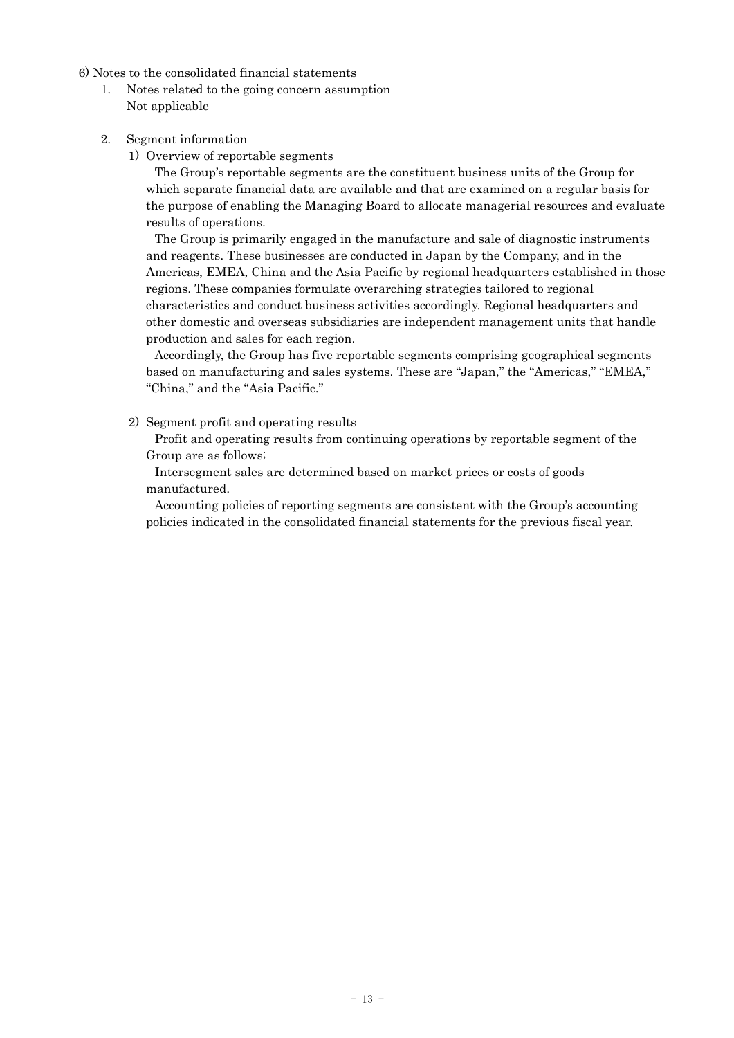6) Notes to the consolidated financial statements

- 1. Notes related to the going concern assumption Not applicable
- 2. Segment information
	- 1) Overview of reportable segments

The Group's reportable segments are the constituent business units of the Group for which separate financial data are available and that are examined on a regular basis for the purpose of enabling the Managing Board to allocate managerial resources and evaluate results of operations.

The Group is primarily engaged in the manufacture and sale of diagnostic instruments and reagents. These businesses are conducted in Japan by the Company, and in the Americas, EMEA, China and the Asia Pacific by regional headquarters established in those regions. These companies formulate overarching strategies tailored to regional characteristics and conduct business activities accordingly. Regional headquarters and other domestic and overseas subsidiaries are independent management units that handle production and sales for each region.

Accordingly, the Group has five reportable segments comprising geographical segments based on manufacturing and sales systems. These are "Japan," the "Americas," "EMEA," "China," and the "Asia Pacific."

2) Segment profit and operating results

Profit and operating results from continuing operations by reportable segment of the Group are as follows;

Intersegment sales are determined based on market prices or costs of goods manufactured.

Accounting policies of reporting segments are consistent with the Group's accounting policies indicated in the consolidated financial statements for the previous fiscal year.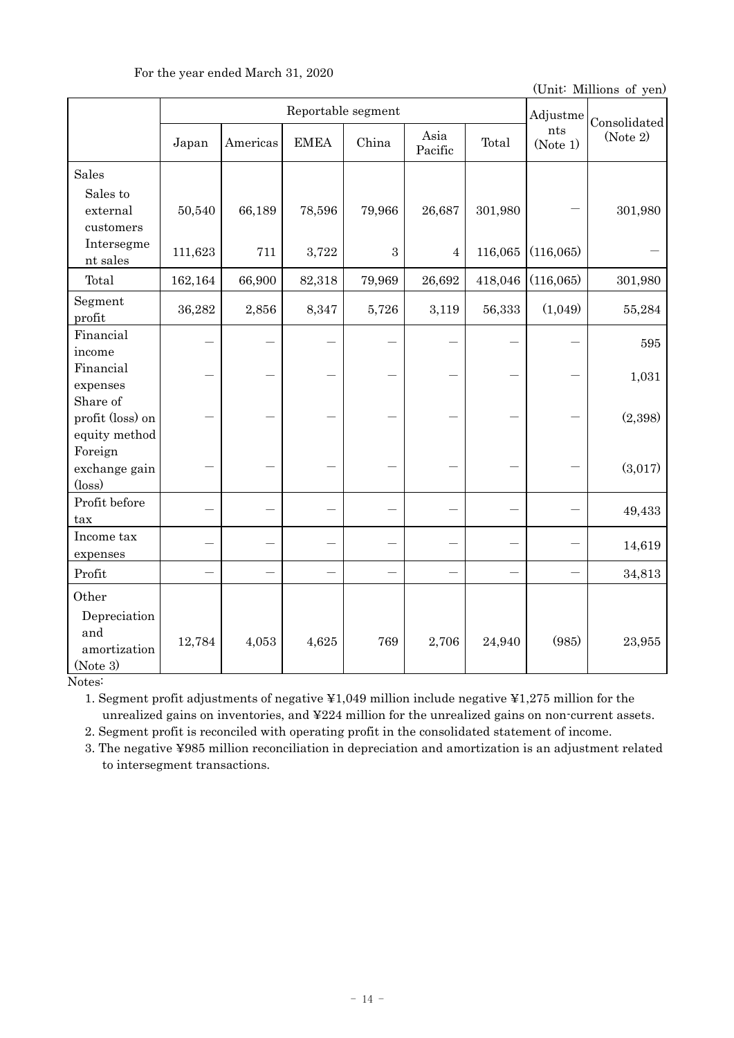(Unit: Millions of yen)

|                                               | Reportable segment |          |             |        |                 |         | Adjustme        | Consolidated |
|-----------------------------------------------|--------------------|----------|-------------|--------|-----------------|---------|-----------------|--------------|
|                                               | Japan              | Americas | <b>EMEA</b> | China  | Asia<br>Pacific | Total   | nts<br>(Note 1) | (Note 2)     |
| Sales                                         |                    |          |             |        |                 |         |                 |              |
| Sales to<br>external<br>customers             | 50,540             | 66,189   | 78,596      | 79,966 | 26,687          | 301,980 |                 | 301,980      |
| Intersegme<br>nt sales                        | 111,623            | 711      | 3,722       | 3      | $\overline{4}$  | 116,065 | (116,065)       |              |
| Total                                         | 162,164            | 66,900   | 82,318      | 79,969 | 26,692          | 418,046 | (116,065)       | 301,980      |
| Segment<br>profit                             | 36,282             | 2,856    | 8,347       | 5,726  | 3,119           | 56,333  | (1,049)         | 55,284       |
| Financial<br>income                           |                    |          |             |        |                 |         |                 | 595          |
| Financial<br>expenses                         |                    |          |             |        |                 |         |                 | 1,031        |
| Share of<br>profit (loss) on<br>equity method |                    |          |             |        |                 |         |                 | (2,398)      |
| Foreign<br>exchange gain<br>$(\text{loss})$   |                    |          |             |        |                 |         |                 | (3,017)      |
| Profit before<br>tax                          |                    |          |             |        |                 |         |                 | 49,433       |
| Income tax<br>expenses                        |                    |          |             |        |                 |         |                 | 14,619       |
| Profit                                        |                    |          |             |        |                 | ÷,      |                 | 34,813       |
| Other<br>Depreciation<br>and<br>amortization  | 12,784             | 4,053    | 4,625       | 769    | 2,706           | 24,940  | (985)           | 23,955       |
| (Note 3)                                      |                    |          |             |        |                 |         |                 |              |

Notes:

1. Segment profit adjustments of negative ¥1,049 million include negative ¥1,275 million for the unrealized gains on inventories, and ¥224 million for the unrealized gains on non-current assets.

2. Segment profit is reconciled with operating profit in the consolidated statement of income.

3. The negative ¥985 million reconciliation in depreciation and amortization is an adjustment related to intersegment transactions.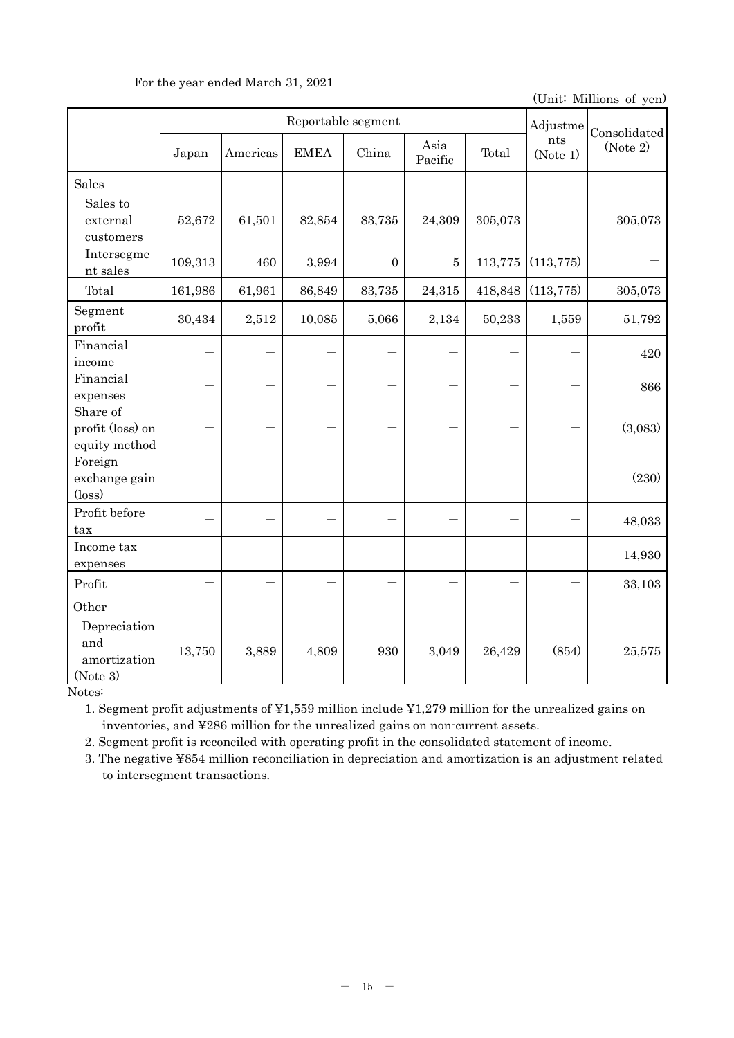| Reportable segment                            |         |          |             |                |                 |         | Adjustme        | Consolidated |
|-----------------------------------------------|---------|----------|-------------|----------------|-----------------|---------|-----------------|--------------|
|                                               | Japan   | Americas | <b>EMEA</b> | China          | Asia<br>Pacific | Total   | nts<br>(Note 1) | (Note 2)     |
| Sales<br>Sales to                             |         |          |             |                |                 |         |                 |              |
| external<br>customers                         | 52,672  | 61,501   | 82,854      | 83,735         | 24,309          | 305,073 |                 | 305,073      |
| Intersegme<br>nt sales                        | 109,313 | 460      | 3,994       | $\overline{0}$ | $\overline{5}$  | 113,775 | (113, 775)      |              |
| Total                                         | 161,986 | 61,961   | 86,849      | 83,735         | 24,315          | 418,848 | (113, 775)      | 305,073      |
| Segment<br>profit                             | 30,434  | 2,512    | 10,085      | 5,066          | 2,134           | 50,233  | 1,559           | 51,792       |
| Financial<br>income                           |         |          |             |                |                 |         |                 | 420          |
| Financial<br>expenses                         |         |          |             |                |                 |         |                 | 866          |
| Share of<br>profit (loss) on<br>equity method |         |          |             |                |                 |         |                 | (3,083)      |
| Foreign<br>exchange gain<br>$(\text{loss})$   |         |          |             |                |                 |         |                 | (230)        |
| Profit before<br>tax                          |         |          |             |                |                 |         |                 | 48,033       |
| Income tax<br>expenses                        |         |          |             |                |                 |         |                 | 14,930       |
| Profit                                        |         |          |             |                |                 |         |                 | 33,103       |
| Other<br>Depreciation<br>and                  | 13,750  | 3,889    | 4,809       | 930            | 3,049           | 26,429  | (854)           | 25,575       |
| amortization<br>(Note 3)                      |         |          |             |                |                 |         |                 |              |

# For the year ended March 31, 2021

(Unit: Millions of yen)

Notes:

1. Segment profit adjustments of ¥1,559 million include ¥1,279 million for the unrealized gains on inventories, and ¥286 million for the unrealized gains on non-current assets.

2. Segment profit is reconciled with operating profit in the consolidated statement of income.

3. The negative ¥854 million reconciliation in depreciation and amortization is an adjustment related to intersegment transactions.